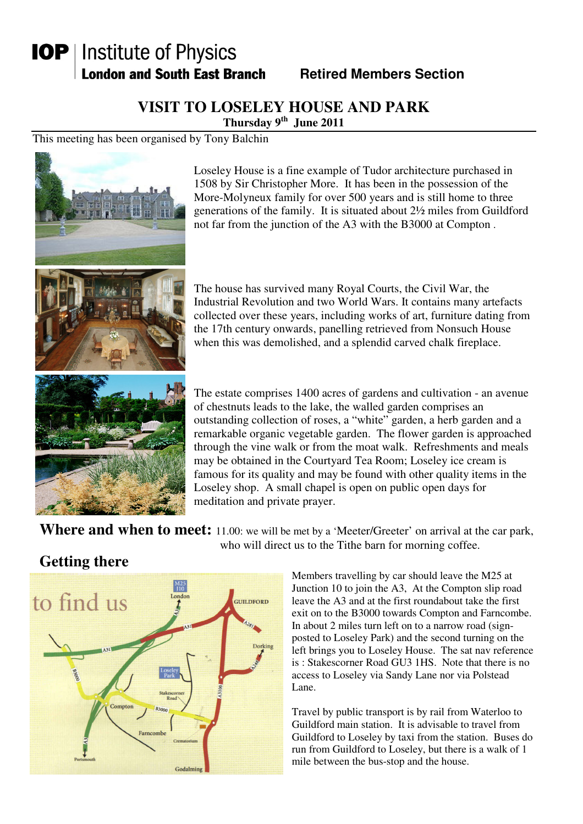# **IOP** | Institute of Physics **London and South East Branch**

**Retired Members Section** 

### **VISIT TO LOSELEY HOUSE AND PARK**

**Thursday 9th June 2011** 

This meeting has been organised by Tony Balchin



Loseley House is a fine example of Tudor architecture purchased in 1508 by Sir Christopher More. It has been in the possession of the More-Molyneux family for over 500 years and is still home to three generations of the family. It is situated about 2½ miles from Guildford not far from the junction of the A3 with the B3000 at Compton .

The house has survived many Royal Courts, the Civil War, the Industrial Revolution and two World Wars. It contains many artefacts collected over these years, including works of art, furniture dating from the 17th century onwards, panelling retrieved from Nonsuch House when this was demolished, and a splendid carved chalk fireplace.

The estate comprises 1400 acres of gardens and cultivation - an avenue of chestnuts leads to the lake, the walled garden comprises an outstanding collection of roses, a "white" garden, a herb garden and a remarkable organic vegetable garden. The flower garden is approached through the vine walk or from the moat walk. Refreshments and meals may be obtained in the Courtyard Tea Room; Loseley ice cream is famous for its quality and may be found with other quality items in the Loseley shop. A small chapel is open on public open days for meditation and private prayer.

Where and when to meet: 11.00: we will be met by a 'Meeter/Greeter' on arrival at the car park, who will direct us to the Tithe barn for morning coffee.

# to find us **GUILDFORD** Compton Farncomh Godalm

**Getting there**

Members travelling by car should leave the M25 at Junction 10 to join the A3, At the Compton slip road leave the A3 and at the first roundabout take the first exit on to the B3000 towards Compton and Farncombe. In about 2 miles turn left on to a narrow road (signposted to Loseley Park) and the second turning on the left brings you to Loseley House. The sat nav reference is : Stakescorner Road GU3 1HS. Note that there is no access to Loseley via Sandy Lane nor via Polstead Lane.

Travel by public transport is by rail from Waterloo to Guildford main station. It is advisable to travel from Guildford to Loseley by taxi from the station. Buses do run from Guildford to Loseley, but there is a walk of 1 mile between the bus-stop and the house.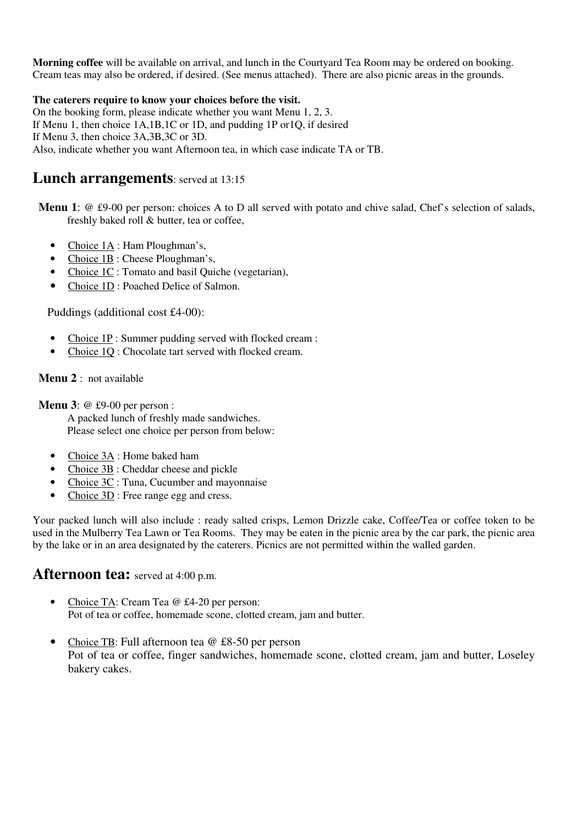**Morning coffee** will be available on arrival, and lunch in the Courtyard Tea Room may be ordered on booking. Cream teas may also be ordered, if desired. (See menus attached). There are also picnic areas in the grounds.

#### **The caterers require to know your choices before the visit.**

On the booking form, please indicate whether you want Menu 1, 2, 3. If Menu 1, then choice 1A,1B,1C or 1D, and pudding 1P or1Q, if desired If Menu 3, then choice 3A,3B,3C or 3D. Also, indicate whether you want Afternoon tea, in which case indicate TA or TB.

#### **Lunch arrangements**: served at 13:15

**Menu 1**: @ £9-00 per person: choices A to D all served with potato and chive salad, Chef's selection of salads, freshly baked roll & butter, tea or coffee,

- Choice  $1\text{\AA}$ : Ham Ploughman's,
- Choice 1B : Cheese Ploughman's,
- Choice 1C : Tomato and basil Quiche (vegetarian),
- Choice 1D : Poached Delice of Salmon.

Puddings (additional cost £4-00):

- Choice 1P : Summer pudding served with flocked cream :
- Choice 10 : Chocolate tart served with flocked cream.

#### **Menu 2** : not available

**Menu 3**: @ £9-00 per person :

A packed lunch of freshly made sandwiches. Please select one choice per person from below:

- Choice 3A : Home baked ham
- Choice 3B : Cheddar cheese and pickle
- Choice 3C : Tuna, Cucumber and mayonnaise
- Choice 3D : Free range egg and cress.

Your packed lunch will also include : ready salted crisps, Lemon Drizzle cake, Coffee/Tea or coffee token to be used in the Mulberry Tea Lawn or Tea Rooms. They may be eaten in the picnic area by the car park, the picnic area by the lake or in an area designated by the caterers. Picnics are not permitted within the walled garden.

#### **Afternoon tea:** served at 4:00 p.m.

- Choice TA: Cream Tea @ £4-20 per person: Pot of tea or coffee, homemade scone, clotted cream, jam and butter.
- Choice TB: Full afternoon tea @ £8-50 per person Pot of tea or coffee, finger sandwiches, homemade scone, clotted cream, jam and butter, Loseley bakery cakes.